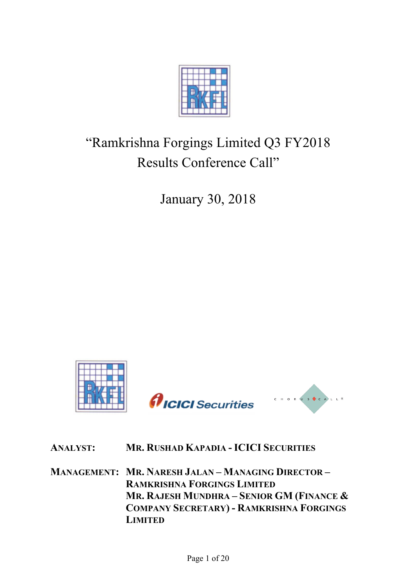

# "Ramkrishna Forgings Limited Q3 FY2018 Results Conference Call"

January 30, 2018



# **ANALYST: MR. RUSHAD KAPADIA - ICICI SECURITIES**

**MANAGEMENT: MR. NARESH JALAN – MANAGING DIRECTOR – RAMKRISHNA FORGINGS LIMITED MR. RAJESH MUNDHRA – SENIOR GM (FINANCE & COMPANY SECRETARY) - RAMKRISHNA FORGINGS LIMITED**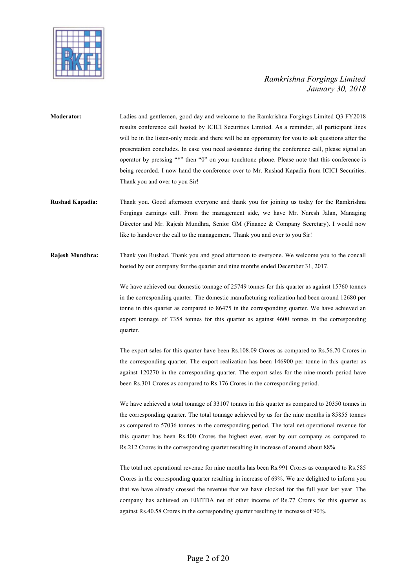

- **Moderator:** Ladies and gentlemen, good day and welcome to the Ramkrishna Forgings Limited Q3 FY2018 results conference call hosted by ICICI Securities Limited. As a reminder, all participant lines will be in the listen-only mode and there will be an opportunity for you to ask questions after the presentation concludes. In case you need assistance during the conference call, please signal an operator by pressing "\*" then "0" on your touchtone phone. Please note that this conference is being recorded. I now hand the conference over to Mr. Rushad Kapadia from ICICI Securities. Thank you and over to you Sir!
- **Rushad Kapadia:** Thank you. Good afternoon everyone and thank you for joining us today for the Ramkrishna Forgings earnings call. From the management side, we have Mr. Naresh Jalan, Managing Director and Mr. Rajesh Mundhra, Senior GM (Finance & Company Secretary). I would now like to handover the call to the management. Thank you and over to you Sir!

**Rajesh Mundhra:** Thank you Rushad. Thank you and good afternoon to everyone. We welcome you to the concall hosted by our company for the quarter and nine months ended December 31, 2017.

> We have achieved our domestic tonnage of 25749 tonnes for this quarter as against 15760 tonnes in the corresponding quarter. The domestic manufacturing realization had been around 12680 per tonne in this quarter as compared to 86475 in the corresponding quarter. We have achieved an export tonnage of 7358 tonnes for this quarter as against 4600 tonnes in the corresponding quarter.

> The export sales for this quarter have been Rs.108.09 Crores as compared to Rs.56.70 Crores in the corresponding quarter. The export realization has been 146900 per tonne in this quarter as against 120270 in the corresponding quarter. The export sales for the nine-month period have been Rs.301 Crores as compared to Rs.176 Crores in the corresponding period.

> We have achieved a total tonnage of 33107 tonnes in this quarter as compared to 20350 tonnes in the corresponding quarter. The total tonnage achieved by us for the nine months is 85855 tonnes as compared to 57036 tonnes in the corresponding period. The total net operational revenue for this quarter has been Rs.400 Crores the highest ever, ever by our company as compared to Rs.212 Crores in the corresponding quarter resulting in increase of around about 88%.

> The total net operational revenue for nine months has been Rs.991 Crores as compared to Rs.585 Crores in the corresponding quarter resulting in increase of 69%. We are delighted to inform you that we have already crossed the revenue that we have clocked for the full year last year. The company has achieved an EBITDA net of other income of Rs.77 Crores for this quarter as against Rs.40.58 Crores in the corresponding quarter resulting in increase of 90%.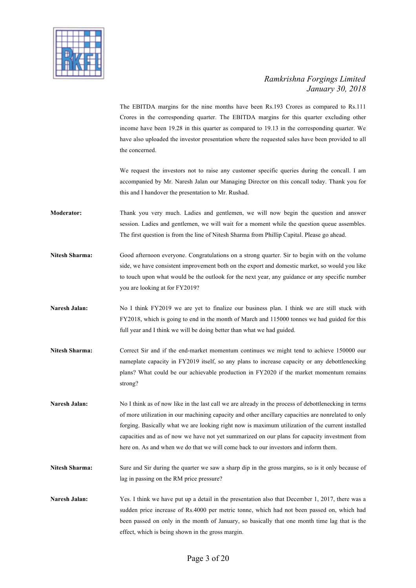

The EBITDA margins for the nine months have been Rs.193 Crores as compared to Rs.111 Crores in the corresponding quarter. The EBITDA margins for this quarter excluding other income have been 19.28 in this quarter as compared to 19.13 in the corresponding quarter. We have also uploaded the investor presentation where the requested sales have been provided to all the concerned.

We request the investors not to raise any customer specific queries during the concall. I am accompanied by Mr. Naresh Jalan our Managing Director on this concall today. Thank you for this and I handover the presentation to Mr. Rushad.

- **Moderator:** Thank you very much. Ladies and gentlemen, we will now begin the question and answer session. Ladies and gentlemen, we will wait for a moment while the question queue assembles. The first question is from the line of Nitesh Sharma from Phillip Capital. Please go ahead.
- **Nitesh Sharma:** Good afternoon everyone. Congratulations on a strong quarter. Sir to begin with on the volume side, we have consistent improvement both on the export and domestic market, so would you like to touch upon what would be the outlook for the next year, any guidance or any specific number you are looking at for FY2019?
- Naresh Jalan: No I think FY2019 we are yet to finalize our business plan. I think we are still stuck with FY2018, which is going to end in the month of March and 115000 tonnes we had guided for this full year and I think we will be doing better than what we had guided.
- **Nitesh Sharma:** Correct Sir and if the end-market momentum continues we might tend to achieve 150000 our nameplate capacity in FY2019 itself, so any plans to increase capacity or any debottlenecking plans? What could be our achievable production in FY2020 if the market momentum remains strong?
- **Naresh Jalan:** No I think as of now like in the last call we are already in the process of debottlenecking in terms of more utilization in our machining capacity and other ancillary capacities are nonrelated to only forging. Basically what we are looking right now is maximum utilization of the current installed capacities and as of now we have not yet summarized on our plans for capacity investment from here on. As and when we do that we will come back to our investors and inform them.
- **Nitesh Sharma:** Sure and Sir during the quarter we saw a sharp dip in the gross margins, so is it only because of lag in passing on the RM price pressure?
- **Naresh Jalan:** Yes. I think we have put up a detail in the presentation also that December 1, 2017, there was a sudden price increase of Rs.4000 per metric tonne, which had not been passed on, which had been passed on only in the month of January, so basically that one month time lag that is the effect, which is being shown in the gross margin.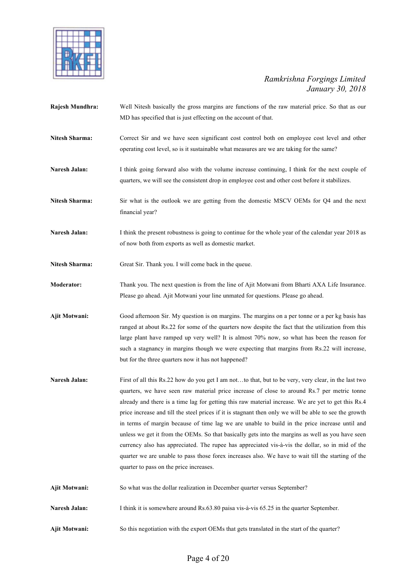

- **Rajesh Mundhra:** Well Nitesh basically the gross margins are functions of the raw material price. So that as our MD has specified that is just effecting on the account of that.
- **Nitesh Sharma:** Correct Sir and we have seen significant cost control both on employee cost level and other operating cost level, so is it sustainable what measures are we are taking for the same?
- Naresh Jalan: I think going forward also with the volume increase continuing, I think for the next couple of quarters, we will see the consistent drop in employee cost and other cost before it stabilizes.
- **Nitesh Sharma:** Sir what is the outlook we are getting from the domestic MSCV OEMs for Q4 and the next financial year?
- Naresh Jalan: I think the present robustness is going to continue for the whole year of the calendar year 2018 as of now both from exports as well as domestic market.
- Nitesh Sharma: Great Sir. Thank you. I will come back in the queue.
- **Moderator:** Thank you. The next question is from the line of Ajit Motwani from Bharti AXA Life Insurance. Please go ahead. Ajit Motwani your line unmated for questions. Please go ahead.
- **Ajit Motwani:** Good afternoon Sir. My question is on margins. The margins on a per tonne or a per kg basis has ranged at about Rs.22 for some of the quarters now despite the fact that the utilization from this large plant have ramped up very well? It is almost 70% now, so what has been the reason for such a stagnancy in margins though we were expecting that margins from Rs.22 will increase, but for the three quarters now it has not happened?
- **Naresh Jalan:** First of all this Rs.22 how do you get I am not...to that, but to be very, very clear, in the last two quarters, we have seen raw material price increase of close to around Rs.7 per metric tonne already and there is a time lag for getting this raw material increase. We are yet to get this Rs.4 price increase and till the steel prices if it is stagnant then only we will be able to see the growth in terms of margin because of time lag we are unable to build in the price increase until and unless we get it from the OEMs. So that basically gets into the margins as well as you have seen currency also has appreciated. The rupee has appreciated vis-à-vis the dollar, so in mid of the quarter we are unable to pass those forex increases also. We have to wait till the starting of the quarter to pass on the price increases.
- **Ajit Motwani:** So what was the dollar realization in December quarter versus September?
- **Naresh Jalan:** I think it is somewhere around Rs.63.80 paisa vis-à-vis 65.25 in the quarter September.
- **Ajit Motwani:** So this negotiation with the export OEMs that gets translated in the start of the quarter?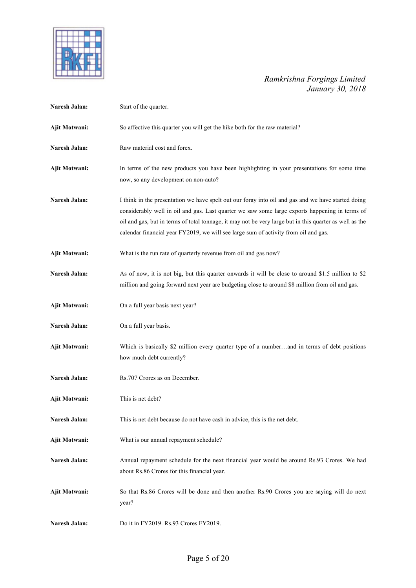

| Naresh Jalan: | Start of the quarter.                                                                                                                                                                                                                                                                                                                                                                                  |
|---------------|--------------------------------------------------------------------------------------------------------------------------------------------------------------------------------------------------------------------------------------------------------------------------------------------------------------------------------------------------------------------------------------------------------|
| Ajit Motwani: | So affective this quarter you will get the hike both for the raw material?                                                                                                                                                                                                                                                                                                                             |
| Naresh Jalan: | Raw material cost and forex.                                                                                                                                                                                                                                                                                                                                                                           |
| Ajit Motwani: | In terms of the new products you have been highlighting in your presentations for some time<br>now, so any development on non-auto?                                                                                                                                                                                                                                                                    |
| Naresh Jalan: | I think in the presentation we have spelt out our foray into oil and gas and we have started doing<br>considerably well in oil and gas. Last quarter we saw some large exports happening in terms of<br>oil and gas, but in terms of total tonnage, it may not be very large but in this quarter as well as the<br>calendar financial year FY2019, we will see large sum of activity from oil and gas. |
| Ajit Motwani: | What is the run rate of quarterly revenue from oil and gas now?                                                                                                                                                                                                                                                                                                                                        |
| Naresh Jalan: | As of now, it is not big, but this quarter onwards it will be close to around \$1.5 million to \$2<br>million and going forward next year are budgeting close to around \$8 million from oil and gas.                                                                                                                                                                                                  |
| Ajit Motwani: | On a full year basis next year?                                                                                                                                                                                                                                                                                                                                                                        |
| Naresh Jalan: | On a full year basis.                                                                                                                                                                                                                                                                                                                                                                                  |
| Ajit Motwani: | Which is basically \$2 million every quarter type of a numberand in terms of debt positions<br>how much debt currently?                                                                                                                                                                                                                                                                                |
| Naresh Jalan: | Rs.707 Crores as on December.                                                                                                                                                                                                                                                                                                                                                                          |
| Ajit Motwani: | This is net debt?                                                                                                                                                                                                                                                                                                                                                                                      |
| Naresh Jalan: | This is net debt because do not have cash in advice, this is the net debt.                                                                                                                                                                                                                                                                                                                             |
| Ajit Motwani: | What is our annual repayment schedule?                                                                                                                                                                                                                                                                                                                                                                 |
| Naresh Jalan: | Annual repayment schedule for the next financial year would be around Rs.93 Crores. We had<br>about Rs.86 Crores for this financial year.                                                                                                                                                                                                                                                              |
| Ajit Motwani: | So that Rs.86 Crores will be done and then another Rs.90 Crores you are saying will do next<br>year?                                                                                                                                                                                                                                                                                                   |
| Naresh Jalan: | Do it in FY2019. Rs.93 Crores FY2019.                                                                                                                                                                                                                                                                                                                                                                  |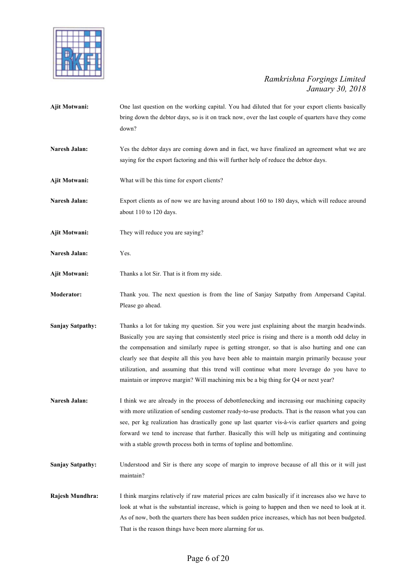

**Ajit Motwani:** One last question on the working capital. You had diluted that for your export clients basically bring down the debtor days, so is it on track now, over the last couple of quarters have they come down? Naresh Jalan: Yes the debtor days are coming down and in fact, we have finalized an agreement what we are saying for the export factoring and this will further help of reduce the debtor days. **Ajit Motwani:** What will be this time for export clients? **Naresh Jalan:** Export clients as of now we are having around about 160 to 180 days, which will reduce around about 110 to 120 days. **Ajit Motwani:** They will reduce you are saying? **Naresh Jalan:** Yes. **Ajit Motwani:** Thanks a lot Sir. That is it from my side. **Moderator:** Thank you. The next question is from the line of Sanjay Satpathy from Ampersand Capital. Please go ahead. **Sanjay Satpathy:** Thanks a lot for taking my question. Sir you were just explaining about the margin headwinds. Basically you are saying that consistently steel price is rising and there is a month odd delay in the compensation and similarly rupee is getting stronger, so that is also hurting and one can clearly see that despite all this you have been able to maintain margin primarily because your utilization, and assuming that this trend will continue what more leverage do you have to maintain or improve margin? Will machining mix be a big thing for Q4 or next year? Naresh Jalan: I think we are already in the process of debottlenecking and increasing our machining capacity with more utilization of sending customer ready-to-use products. That is the reason what you can see, per kg realization has drastically gone up last quarter vis-à-vis earlier quarters and going forward we tend to increase that further. Basically this will help us mitigating and continuing with a stable growth process both in terms of topline and bottomline. **Sanjay Satpathy:** Understood and Sir is there any scope of margin to improve because of all this or it will just maintain? **Rajesh Mundhra:** I think margins relatively if raw material prices are calm basically if it increases also we have to look at what is the substantial increase, which is going to happen and then we need to look at it.

That is the reason things have been more alarming for us.

As of now, both the quarters there has been sudden price increases, which has not been budgeted.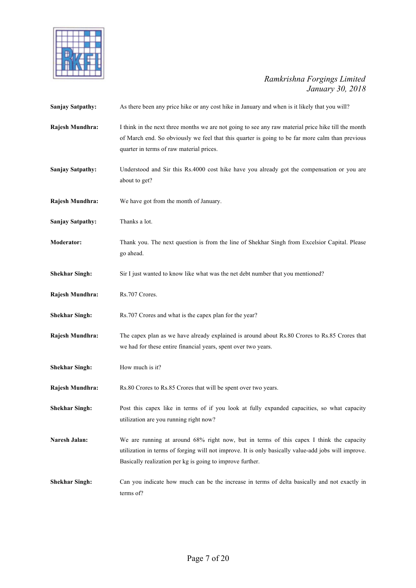

| <b>Sanjay Satpathy:</b> | As there been any price hike or any cost hike in January and when is it likely that you will?                                                                                                                                                               |
|-------------------------|-------------------------------------------------------------------------------------------------------------------------------------------------------------------------------------------------------------------------------------------------------------|
| Rajesh Mundhra:         | I think in the next three months we are not going to see any raw material price hike till the month<br>of March end. So obviously we feel that this quarter is going to be far more calm than previous<br>quarter in terms of raw material prices.          |
| <b>Sanjay Satpathy:</b> | Understood and Sir this Rs.4000 cost hike have you already got the compensation or you are<br>about to get?                                                                                                                                                 |
| Rajesh Mundhra:         | We have got from the month of January.                                                                                                                                                                                                                      |
| <b>Sanjay Satpathy:</b> | Thanks a lot.                                                                                                                                                                                                                                               |
| <b>Moderator:</b>       | Thank you. The next question is from the line of Shekhar Singh from Excelsior Capital. Please<br>go ahead.                                                                                                                                                  |
| <b>Shekhar Singh:</b>   | Sir I just wanted to know like what was the net debt number that you mentioned?                                                                                                                                                                             |
| Rajesh Mundhra:         | Rs.707 Crores.                                                                                                                                                                                                                                              |
| <b>Shekhar Singh:</b>   | Rs.707 Crores and what is the capex plan for the year?                                                                                                                                                                                                      |
| Rajesh Mundhra:         | The capex plan as we have already explained is around about Rs.80 Crores to Rs.85 Crores that<br>we had for these entire financial years, spent over two years.                                                                                             |
| <b>Shekhar Singh:</b>   | How much is it?                                                                                                                                                                                                                                             |
| Rajesh Mundhra:         | Rs.80 Crores to Rs.85 Crores that will be spent over two years.                                                                                                                                                                                             |
| <b>Shekhar Singh:</b>   | Post this capex like in terms of if you look at fully expanded capacities, so what capacity<br>utilization are you running right now?                                                                                                                       |
| Naresh Jalan:           | We are running at around 68% right now, but in terms of this capex I think the capacity<br>utilization in terms of forging will not improve. It is only basically value-add jobs will improve.<br>Basically realization per kg is going to improve further. |
| <b>Shekhar Singh:</b>   | Can you indicate how much can be the increase in terms of delta basically and not exactly in<br>terms of?                                                                                                                                                   |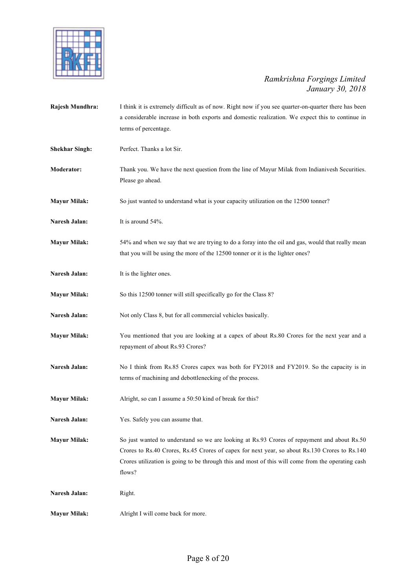

| Rajesh Mundhra:       | I think it is extremely difficult as of now. Right now if you see quarter-on-quarter there has been<br>a considerable increase in both exports and domestic realization. We expect this to continue in<br>terms of percentage.                                                                              |
|-----------------------|-------------------------------------------------------------------------------------------------------------------------------------------------------------------------------------------------------------------------------------------------------------------------------------------------------------|
| <b>Shekhar Singh:</b> | Perfect. Thanks a lot Sir.                                                                                                                                                                                                                                                                                  |
| Moderator:            | Thank you. We have the next question from the line of Mayur Milak from Indianivesh Securities.<br>Please go ahead.                                                                                                                                                                                          |
| <b>Mayur Milak:</b>   | So just wanted to understand what is your capacity utilization on the 12500 tonner?                                                                                                                                                                                                                         |
| Naresh Jalan:         | It is around 54%.                                                                                                                                                                                                                                                                                           |
| <b>Mayur Milak:</b>   | 54% and when we say that we are trying to do a foray into the oil and gas, would that really mean<br>that you will be using the more of the 12500 tonner or it is the lighter ones?                                                                                                                         |
| Naresh Jalan:         | It is the lighter ones.                                                                                                                                                                                                                                                                                     |
| <b>Mayur Milak:</b>   | So this 12500 tonner will still specifically go for the Class 8?                                                                                                                                                                                                                                            |
| Naresh Jalan:         | Not only Class 8, but for all commercial vehicles basically.                                                                                                                                                                                                                                                |
| <b>Mayur Milak:</b>   | You mentioned that you are looking at a capex of about Rs.80 Crores for the next year and a<br>repayment of about Rs.93 Crores?                                                                                                                                                                             |
| Naresh Jalan:         | No I think from Rs.85 Crores capex was both for FY2018 and FY2019. So the capacity is in<br>terms of machining and debottlenecking of the process.                                                                                                                                                          |
| <b>Mayur Milak:</b>   | Alright, so can I assume a 50:50 kind of break for this?                                                                                                                                                                                                                                                    |
| Naresh Jalan:         | Yes. Safely you can assume that.                                                                                                                                                                                                                                                                            |
| <b>Mayur Milak:</b>   | So just wanted to understand so we are looking at Rs.93 Crores of repayment and about Rs.50<br>Crores to Rs.40 Crores, Rs.45 Crores of capex for next year, so about Rs.130 Crores to Rs.140<br>Crores utilization is going to be through this and most of this will come from the operating cash<br>flows? |
| Naresh Jalan:         | Right.                                                                                                                                                                                                                                                                                                      |
| <b>Mayur Milak:</b>   | Alright I will come back for more.                                                                                                                                                                                                                                                                          |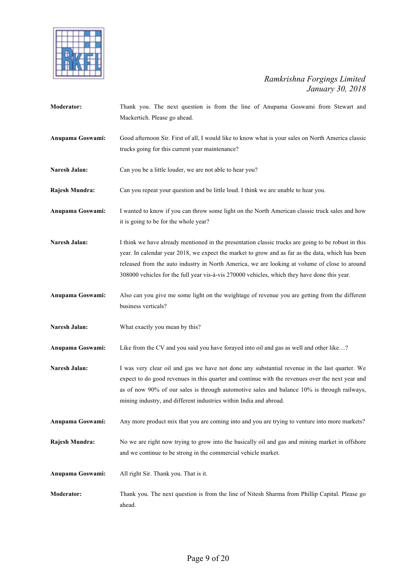

| Moderator:       | Thank you. The next question is from the line of Anupama Goswami from Stewart and<br>Mackertich. Please go ahead.                                                                                                                                                                                                                                                                                        |
|------------------|----------------------------------------------------------------------------------------------------------------------------------------------------------------------------------------------------------------------------------------------------------------------------------------------------------------------------------------------------------------------------------------------------------|
| Anupama Goswami: | Good afternoon Sir. First of all, I would like to know what is your sales on North America classic<br>trucks going for this current year maintenance?                                                                                                                                                                                                                                                    |
| Naresh Jalan:    | Can you be a little louder, we are not able to hear you?                                                                                                                                                                                                                                                                                                                                                 |
| Rajesh Mundra:   | Can you repeat your question and be little loud. I think we are unable to hear you.                                                                                                                                                                                                                                                                                                                      |
| Anupama Goswami: | I wanted to know if you can throw some light on the North American classic truck sales and how<br>it is going to be for the whole year?                                                                                                                                                                                                                                                                  |
| Naresh Jalan:    | I think we have already mentioned in the presentation classic trucks are going to be robust in this<br>year. In calendar year 2018, we expect the market to grow and as far as the data, which has been<br>released from the auto industry in North America, we are looking at volume of close to around<br>308000 vehicles for the full year vis-à-vis 270000 vehicles, which they have done this year. |
| Anupama Goswami: | Also can you give me some light on the weightage of revenue you are getting from the different<br>business verticals?                                                                                                                                                                                                                                                                                    |
| Naresh Jalan:    | What exactly you mean by this?                                                                                                                                                                                                                                                                                                                                                                           |
| Anupama Goswami: | Like from the CV and you said you have forayed into oil and gas as well and other like?                                                                                                                                                                                                                                                                                                                  |
| Naresh Jalan:    | I was very clear oil and gas we have not done any substantial revenue in the last quarter. We<br>expect to do good revenues in this quarter and continue with the revenues over the next year and<br>as of now 90% of our sales is through automotive sales and balance 10% is through railways,<br>mining industry, and different industries within India and abroad.                                   |
| Anupama Goswami: | Any more product mix that you are coming into and you are trying to venture into more markets?                                                                                                                                                                                                                                                                                                           |
| Rajesh Mundra:   | No we are right now trying to grow into the basically oil and gas and mining market in offshore<br>and we continue to be strong in the commercial vehicle market.                                                                                                                                                                                                                                        |
| Anupama Goswami: | All right Sir. Thank you. That is it.                                                                                                                                                                                                                                                                                                                                                                    |
| Moderator:       | Thank you. The next question is from the line of Nitesh Sharma from Phillip Capital. Please go<br>ahead.                                                                                                                                                                                                                                                                                                 |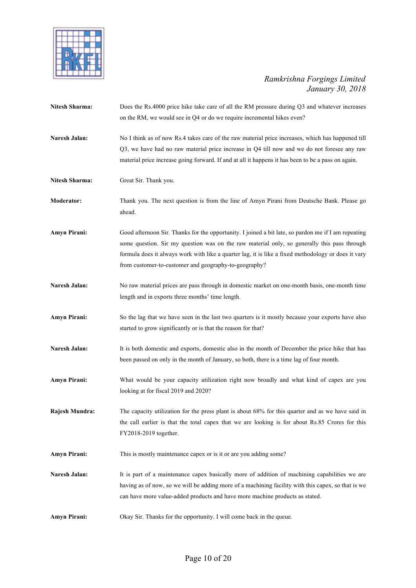

| <b>Nitesh Sharma:</b> | Does the Rs.4000 price hike take care of all the RM pressure during Q3 and whatever increases<br>on the RM, we would see in Q4 or do we require incremental hikes even?                                                                                                                                                                                            |
|-----------------------|--------------------------------------------------------------------------------------------------------------------------------------------------------------------------------------------------------------------------------------------------------------------------------------------------------------------------------------------------------------------|
| Naresh Jalan:         | No I think as of now Rs.4 takes care of the raw material price increases, which has happened till<br>Q3, we have had no raw material price increase in Q4 till now and we do not foresee any raw<br>material price increase going forward. If and at all it happens it has been to be a pass on again.                                                             |
| <b>Nitesh Sharma:</b> | Great Sir. Thank you.                                                                                                                                                                                                                                                                                                                                              |
| Moderator:            | Thank you. The next question is from the line of Amyn Pirani from Deutsche Bank. Please go<br>ahead.                                                                                                                                                                                                                                                               |
| Amyn Pirani:          | Good afternoon Sir. Thanks for the opportunity. I joined a bit late, so pardon me if I am repeating<br>some question. Sir my question was on the raw material only, so generally this pass through<br>formula does it always work with like a quarter lag, it is like a fixed methodology or does it vary<br>from customer-to-customer and geography-to-geography? |
| Naresh Jalan:         | No raw material prices are pass through in domestic market on one-month basis, one-month time<br>length and in exports three months' time length.                                                                                                                                                                                                                  |
| <b>Amyn Pirani:</b>   | So the lag that we have seen in the last two quarters is it mostly because your exports have also<br>started to grow significantly or is that the reason for that?                                                                                                                                                                                                 |
| Naresh Jalan:         | It is both domestic and exports, domestic also in the month of December the price hike that has<br>been passed on only in the month of January, so both, there is a time lag of four month.                                                                                                                                                                        |
| Amyn Pirani:          | What would be your capacity utilization right now broadly and what kind of capex are you<br>looking at for fiscal 2019 and 2020?                                                                                                                                                                                                                                   |
| Rajesh Mundra:        | The capacity utilization for the press plant is about 68% for this quarter and as we have said in<br>the call earlier is that the total capex that we are looking is for about Rs.85 Crores for this<br>FY2018-2019 together.                                                                                                                                      |
| <b>Amyn Pirani:</b>   | This is mostly maintenance capex or is it or are you adding some?                                                                                                                                                                                                                                                                                                  |
| Naresh Jalan:         | It is part of a maintenance capex basically more of addition of machining capabilities we are<br>having as of now, so we will be adding more of a machining facility with this capex, so that is we<br>can have more value-added products and have more machine products as stated.                                                                                |
| <b>Amyn Pirani:</b>   | Okay Sir. Thanks for the opportunity. I will come back in the queue.                                                                                                                                                                                                                                                                                               |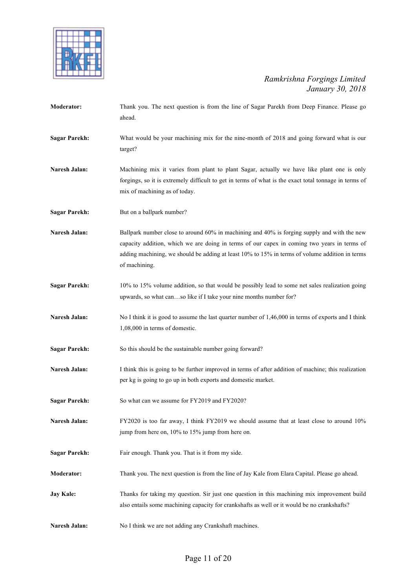

| <b>Moderator:</b>    | Thank you. The next question is from the line of Sagar Parekh from Deep Finance. Please go<br>ahead.                                                                                                                                                                                                          |
|----------------------|---------------------------------------------------------------------------------------------------------------------------------------------------------------------------------------------------------------------------------------------------------------------------------------------------------------|
| <b>Sagar Parekh:</b> | What would be your machining mix for the nine-month of 2018 and going forward what is our<br>target?                                                                                                                                                                                                          |
| Naresh Jalan:        | Machining mix it varies from plant to plant Sagar, actually we have like plant one is only<br>forgings, so it is extremely difficult to get in terms of what is the exact total tonnage in terms of<br>mix of machining as of today.                                                                          |
| <b>Sagar Parekh:</b> | But on a ballpark number?                                                                                                                                                                                                                                                                                     |
| Naresh Jalan:        | Ballpark number close to around 60% in machining and 40% is forging supply and with the new<br>capacity addition, which we are doing in terms of our capex in coming two years in terms of<br>adding machining, we should be adding at least 10% to 15% in terms of volume addition in terms<br>of machining. |
| <b>Sagar Parekh:</b> | 10% to 15% volume addition, so that would be possibly lead to some net sales realization going<br>upwards, so what canso like if I take your nine months number for?                                                                                                                                          |
| <b>Naresh Jalan:</b> | No I think it is good to assume the last quarter number of 1,46,000 in terms of exports and I think<br>1,08,000 in terms of domestic.                                                                                                                                                                         |
| <b>Sagar Parekh:</b> | So this should be the sustainable number going forward?                                                                                                                                                                                                                                                       |
| Naresh Jalan:        | I think this is going to be further improved in terms of after addition of machine; this realization<br>per kg is going to go up in both exports and domestic market.                                                                                                                                         |
| <b>Sagar Parekh:</b> | So what can we assume for FY2019 and FY2020?                                                                                                                                                                                                                                                                  |
| Naresh Jalan:        | FY2020 is too far away, I think FY2019 we should assume that at least close to around 10%<br>jump from here on, 10% to 15% jump from here on.                                                                                                                                                                 |
| <b>Sagar Parekh:</b> | Fair enough. Thank you. That is it from my side.                                                                                                                                                                                                                                                              |
| Moderator:           | Thank you. The next question is from the line of Jay Kale from Elara Capital. Please go ahead.                                                                                                                                                                                                                |
| <b>Jay Kale:</b>     | Thanks for taking my question. Sir just one question in this machining mix improvement build<br>also entails some machining capacity for crankshafts as well or it would be no crankshafts?                                                                                                                   |
| Naresh Jalan:        | No I think we are not adding any Crankshaft machines.                                                                                                                                                                                                                                                         |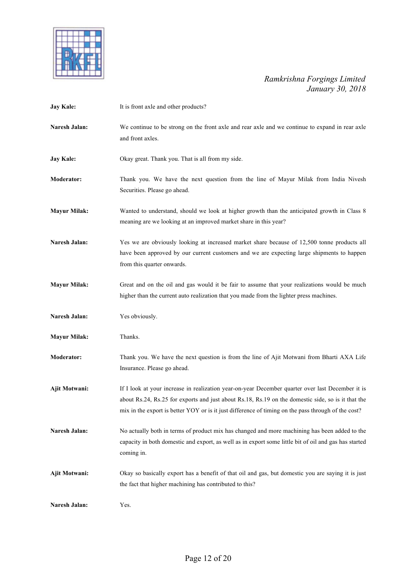

| <b>Jay Kale:</b>     | It is front axle and other products?                                                                                                                                                                                                                                                                          |
|----------------------|---------------------------------------------------------------------------------------------------------------------------------------------------------------------------------------------------------------------------------------------------------------------------------------------------------------|
| Naresh Jalan:        | We continue to be strong on the front axle and rear axle and we continue to expand in rear axle<br>and front axles.                                                                                                                                                                                           |
| <b>Jay Kale:</b>     | Okay great. Thank you. That is all from my side.                                                                                                                                                                                                                                                              |
| Moderator:           | Thank you. We have the next question from the line of Mayur Milak from India Nivesh<br>Securities. Please go ahead.                                                                                                                                                                                           |
| <b>Mayur Milak:</b>  | Wanted to understand, should we look at higher growth than the anticipated growth in Class 8<br>meaning are we looking at an improved market share in this year?                                                                                                                                              |
| Naresh Jalan:        | Yes we are obviously looking at increased market share because of 12,500 tonne products all<br>have been approved by our current customers and we are expecting large shipments to happen<br>from this quarter onwards.                                                                                       |
| <b>Mayur Milak:</b>  | Great and on the oil and gas would it be fair to assume that your realizations would be much<br>higher than the current auto realization that you made from the lighter press machines.                                                                                                                       |
| Naresh Jalan:        | Yes obviously.                                                                                                                                                                                                                                                                                                |
| <b>Mayur Milak:</b>  | Thanks.                                                                                                                                                                                                                                                                                                       |
| Moderator:           | Thank you. We have the next question is from the line of Ajit Motwani from Bharti AXA Life<br>Insurance. Please go ahead.                                                                                                                                                                                     |
| <b>Ajit Motwani:</b> | If I look at your increase in realization year-on-year December quarter over last December it is<br>about Rs.24, Rs.25 for exports and just about Rs.18, Rs.19 on the domestic side, so is it that the<br>mix in the export is better YOY or is it just difference of timing on the pass through of the cost? |
| Naresh Jalan:        | No actually both in terms of product mix has changed and more machining has been added to the<br>capacity in both domestic and export, as well as in export some little bit of oil and gas has started<br>coming in.                                                                                          |
| Ajit Motwani:        | Okay so basically export has a benefit of that oil and gas, but domestic you are saying it is just<br>the fact that higher machining has contributed to this?                                                                                                                                                 |
| Naresh Jalan:        | Yes.                                                                                                                                                                                                                                                                                                          |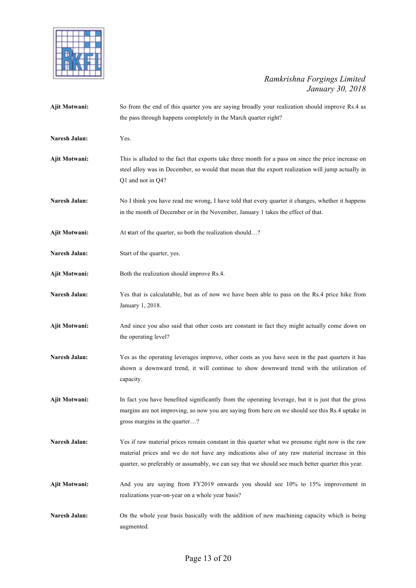

| Ajit Motwani:        | So from the end of this quarter you are saying broadly your realization should improve Rs.4 as<br>the pass through happens completely in the March quarter right?                                                                                                                                    |
|----------------------|------------------------------------------------------------------------------------------------------------------------------------------------------------------------------------------------------------------------------------------------------------------------------------------------------|
| Naresh Jalan:        | Yes.                                                                                                                                                                                                                                                                                                 |
| Ajit Motwani:        | This is alluded to the fact that exports take three month for a pass on since the price increase on<br>steel alloy was in December, so would that mean that the export realization will jump actually in<br>$Q1$ and not in $Q4$ ?                                                                   |
| Naresh Jalan:        | No I think you have read me wrong, I have told that every quarter it changes, whether it happens<br>in the month of December or in the November, January 1 takes the effect of that.                                                                                                                 |
| Ajit Motwani:        | At start of the quarter, so both the realization should?                                                                                                                                                                                                                                             |
| Naresh Jalan:        | Start of the quarter, yes.                                                                                                                                                                                                                                                                           |
| <b>Ajit Motwani:</b> | Both the realization should improve Rs.4.                                                                                                                                                                                                                                                            |
| Naresh Jalan:        | Yes that is calculatable, but as of now we have been able to pass on the Rs.4 price hike from<br>January 1, 2018.                                                                                                                                                                                    |
| Ajit Motwani:        | And since you also said that other costs are constant in fact they might actually come down on<br>the operating level?                                                                                                                                                                               |
| Naresh Jalan:        | Yes as the operating leverages improve, other costs as you have seen in the past quarters it has<br>shown a downward trend, it will continue to show downward trend with the utilization of<br>capacity.                                                                                             |
| Ajit Motwani:        | In fact you have benefited significantly from the operating leverage, but it is just that the gross<br>margins are not improving, so now you are saying from here on we should see this Rs.4 uptake in<br>gross margins in the quarter?                                                              |
| Naresh Jalan:        | Yes if raw material prices remain constant in this quarter what we presume right now is the raw<br>material prices and we do not have any indications also of any raw material increase in this<br>quarter, so preferably or assumably, we can say that we should see much better quarter this year. |
| <b>Ajit Motwani:</b> | And you are saying from FY2019 onwards you should see 10% to 15% improvement in<br>realizations year-on-year on a whole year basis?                                                                                                                                                                  |
| Naresh Jalan:        | On the whole year basis basically with the addition of new machining capacity which is being<br>augmented.                                                                                                                                                                                           |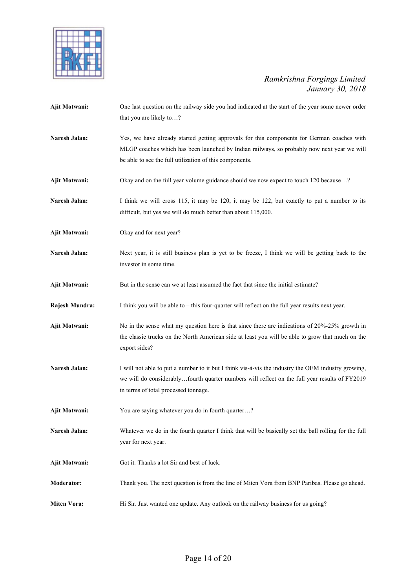

| Ajit Motwani:      | One last question on the railway side you had indicated at the start of the year some newer order     |
|--------------------|-------------------------------------------------------------------------------------------------------|
|                    | that you are likely to?                                                                               |
|                    |                                                                                                       |
| Naresh Jalan:      | Yes, we have already started getting approvals for this components for German coaches with            |
|                    | MLGP coaches which has been launched by Indian railways, so probably now next year we will            |
|                    | be able to see the full utilization of this components.                                               |
| Ajit Motwani:      | Okay and on the full year volume guidance should we now expect to touch 120 because?                  |
| Naresh Jalan:      | I think we will cross 115, it may be 120, it may be 122, but exactly to put a number to its           |
|                    | difficult, but yes we will do much better than about 115,000.                                         |
| Ajit Motwani:      | Okay and for next year?                                                                               |
| Naresh Jalan:      | Next year, it is still business plan is yet to be freeze, I think we will be getting back to the      |
|                    | investor in some time.                                                                                |
| Ajit Motwani:      | But in the sense can we at least assumed the fact that since the initial estimate?                    |
| Rajesh Mundra:     | I think you will be able to – this four-quarter will reflect on the full year results next year.      |
| Ajit Motwani:      | No in the sense what my question here is that since there are indications of $20\% - 25\%$ growth in  |
|                    | the classic trucks on the North American side at least you will be able to grow that much on the      |
|                    | export sides?                                                                                         |
| Naresh Jalan:      | I will not able to put a number to it but I think vis-à-vis the industry the OEM industry growing,    |
|                    | we will do considerablyfourth quarter numbers will reflect on the full year results of FY2019         |
|                    | in terms of total processed tonnage.                                                                  |
| Ajit Motwani:      | You are saying whatever you do in fourth quarter?                                                     |
| Naresh Jalan:      | Whatever we do in the fourth quarter I think that will be basically set the ball rolling for the full |
|                    | year for next year.                                                                                   |
| Ajit Motwani:      | Got it. Thanks a lot Sir and best of luck.                                                            |
| <b>Moderator:</b>  | Thank you. The next question is from the line of Miten Vora from BNP Paribas. Please go ahead.        |
| <b>Miten Vora:</b> | Hi Sir. Just wanted one update. Any outlook on the railway business for us going?                     |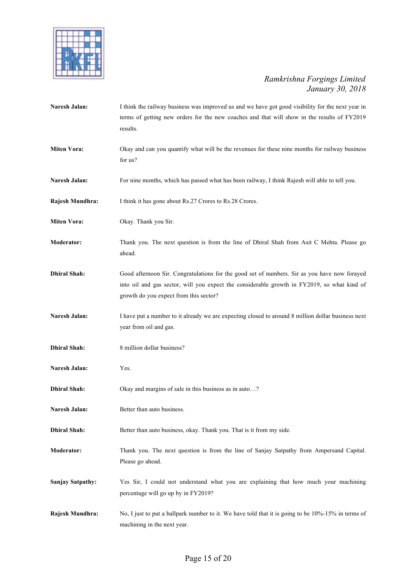

| Naresh Jalan:           | I think the railway business was improved us and we have got good visibility for the next year in<br>terms of getting new orders for the new coaches and that will show in the results of FY2019<br>results.                          |
|-------------------------|---------------------------------------------------------------------------------------------------------------------------------------------------------------------------------------------------------------------------------------|
| <b>Miten Vora:</b>      | Okay and can you quantify what will be the revenues for these nine months for railway business<br>for us?                                                                                                                             |
| Naresh Jalan:           | For nine months, which has passed what has been railway, I think Rajesh will able to tell you.                                                                                                                                        |
| Rajesh Mundhra:         | I think it has gone about Rs.27 Crores to Rs.28 Crores.                                                                                                                                                                               |
| <b>Miten Vora:</b>      | Okay. Thank you Sir.                                                                                                                                                                                                                  |
| Moderator:              | Thank you. The next question is from the line of Dhiral Shah from Asit C Mehta. Please go<br>ahead.                                                                                                                                   |
| <b>Dhiral Shah:</b>     | Good afternoon Sir. Congratulations for the good set of numbers. Sir as you have now forayed<br>into oil and gas sector, will you expect the considerable growth in FY2019, so what kind of<br>growth do you expect from this sector? |
| Naresh Jalan:           | I have put a number to it already we are expecting closed to around 8 million dollar business next<br>year from oil and gas.                                                                                                          |
| <b>Dhiral Shah:</b>     | 8 million dollar business?                                                                                                                                                                                                            |
| Naresh Jalan:           | Yes.                                                                                                                                                                                                                                  |
| <b>Dhiral Shah:</b>     | Okay and margins of sale in this business as in auto?                                                                                                                                                                                 |
| Naresh Jalan:           | Better than auto business.                                                                                                                                                                                                            |
| <b>Dhiral Shah:</b>     | Better than auto business, okay. Thank you. That is it from my side.                                                                                                                                                                  |
| Moderator:              | Thank you. The next question is from the line of Sanjay Satpathy from Ampersand Capital.<br>Please go ahead.                                                                                                                          |
| <b>Sanjay Satpathy:</b> | Yes Sir, I could not understand what you are explaining that how much your machining<br>percentage will go up by in FY2019?                                                                                                           |
| Rajesh Mundhra:         | No, I just to put a ballpark number to it. We have told that it is going to be 10%-15% in terms of<br>machining in the next year.                                                                                                     |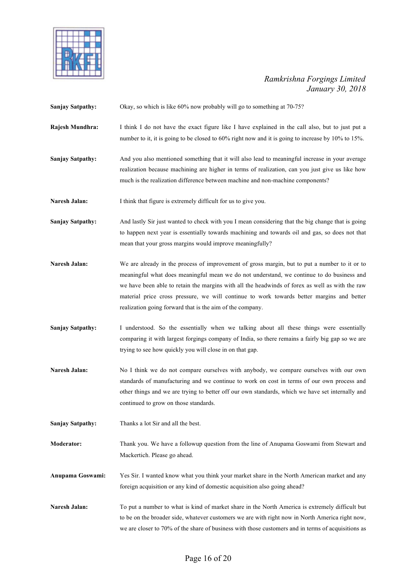

| <b>Sanjay Satpathy:</b> | Okay, so which is like 60% now probably will go to something at 70-75?                                                                                                                                                                                                                                                                                                                                                                                  |
|-------------------------|---------------------------------------------------------------------------------------------------------------------------------------------------------------------------------------------------------------------------------------------------------------------------------------------------------------------------------------------------------------------------------------------------------------------------------------------------------|
| Rajesh Mundhra:         | I think I do not have the exact figure like I have explained in the call also, but to just put a<br>number to it, it is going to be closed to 60% right now and it is going to increase by 10% to 15%.                                                                                                                                                                                                                                                  |
| <b>Sanjay Satpathy:</b> | And you also mentioned something that it will also lead to meaningful increase in your average<br>realization because machining are higher in terms of realization, can you just give us like how<br>much is the realization difference between machine and non-machine components?                                                                                                                                                                     |
| Naresh Jalan:           | I think that figure is extremely difficult for us to give you.                                                                                                                                                                                                                                                                                                                                                                                          |
| <b>Sanjay Satpathy:</b> | And lastly Sir just wanted to check with you I mean considering that the big change that is going<br>to happen next year is essentially towards machining and towards oil and gas, so does not that<br>mean that your gross margins would improve meaningfully?                                                                                                                                                                                         |
| Naresh Jalan:           | We are already in the process of improvement of gross margin, but to put a number to it or to<br>meaningful what does meaningful mean we do not understand, we continue to do business and<br>we have been able to retain the margins with all the headwinds of forex as well as with the raw<br>material price cross pressure, we will continue to work towards better margins and better<br>realization going forward that is the aim of the company. |
| <b>Sanjay Satpathy:</b> | I understood. So the essentially when we talking about all these things were essentially<br>comparing it with largest forgings company of India, so there remains a fairly big gap so we are<br>trying to see how quickly you will close in on that gap.                                                                                                                                                                                                |
| Naresh Jalan:           | No I think we do not compare ourselves with anybody, we compare ourselves with our own<br>standards of manufacturing and we continue to work on cost in terms of our own process and<br>other things and we are trying to better off our own standards, which we have set internally and<br>continued to grow on those standards.                                                                                                                       |
| <b>Sanjay Satpathy:</b> | Thanks a lot Sir and all the best.                                                                                                                                                                                                                                                                                                                                                                                                                      |
| Moderator:              | Thank you. We have a followup question from the line of Anupama Goswami from Stewart and<br>Mackertich. Please go ahead.                                                                                                                                                                                                                                                                                                                                |
| Anupama Goswami:        | Yes Sir. I wanted know what you think your market share in the North American market and any<br>foreign acquisition or any kind of domestic acquisition also going ahead?                                                                                                                                                                                                                                                                               |
| Naresh Jalan:           | To put a number to what is kind of market share in the North America is extremely difficult but<br>to be on the broader side, whatever customers we are with right now in North America right now,<br>we are closer to 70% of the share of business with those customers and in terms of acquisitions as                                                                                                                                                |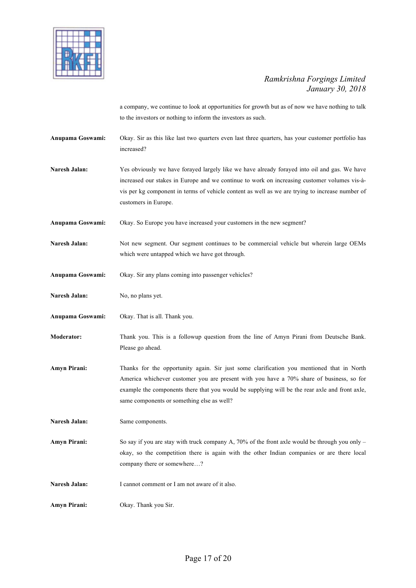

a company, we continue to look at opportunities for growth but as of now we have nothing to talk to the investors or nothing to inform the investors as such.

**Anupama Goswami:** Okay. Sir as this like last two quarters even last three quarters, has your customer portfolio has increased?

**Naresh Jalan:** Yes obviously we have forayed largely like we have already forayed into oil and gas. We have increased our stakes in Europe and we continue to work on increasing customer volumes vis-àvis per kg component in terms of vehicle content as well as we are trying to increase number of customers in Europe.

**Anupama Goswami:** Okay. So Europe you have increased your customers in the new segment?

Naresh Jalan: Not new segment. Our segment continues to be commercial vehicle but wherein large OEMs which were untapped which we have got through.

**Anupama Goswami:** Okay. Sir any plans coming into passenger vehicles?

Naresh Jalan: No, no plans yet.

**Anupama Goswami:** Okay. That is all. Thank you.

**Moderator:** Thank you. This is a followup question from the line of Amyn Pirani from Deutsche Bank. Please go ahead.

**Amyn Pirani:** Thanks for the opportunity again. Sir just some clarification you mentioned that in North America whichever customer you are present with you have a 70% share of business, so for example the components there that you would be supplying will be the rear axle and front axle, same components or something else as well?

**Naresh Jalan:** Same components.

**Amyn Pirani:** So say if you are stay with truck company A, 70% of the front axle would be through you only – okay, so the competition there is again with the other Indian companies or are there local company there or somewhere…?

**Naresh Jalan:** I cannot comment or I am not aware of it also.

**Amyn Pirani:** Okay. Thank you Sir.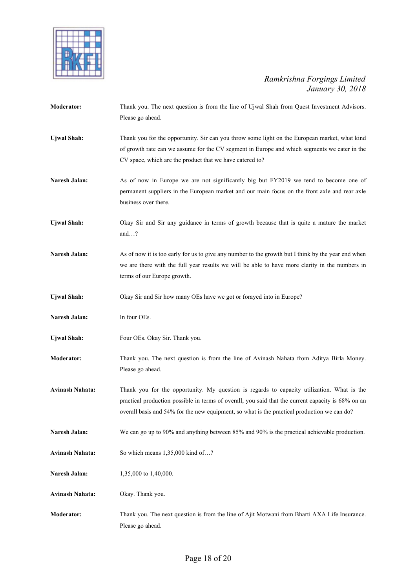

| Moderator:             | Thank you. The next question is from the line of Ujwal Shah from Quest Investment Advisors.<br>Please go ahead.                                                                                                                                                                                 |
|------------------------|-------------------------------------------------------------------------------------------------------------------------------------------------------------------------------------------------------------------------------------------------------------------------------------------------|
| <b>Ujwal Shah:</b>     | Thank you for the opportunity. Sir can you throw some light on the European market, what kind<br>of growth rate can we assume for the CV segment in Europe and which segments we cater in the<br>CV space, which are the product that we have catered to?                                       |
| Naresh Jalan:          | As of now in Europe we are not significantly big but FY2019 we tend to become one of<br>permanent suppliers in the European market and our main focus on the front axle and rear axle<br>business over there.                                                                                   |
| <b>Ujwal Shah:</b>     | Okay Sir and Sir any guidance in terms of growth because that is quite a mature the market<br>and?                                                                                                                                                                                              |
| Naresh Jalan:          | As of now it is too early for us to give any number to the growth but I think by the year end when<br>we are there with the full year results we will be able to have more clarity in the numbers in<br>terms of our Europe growth.                                                             |
| <b>Ujwal Shah:</b>     | Okay Sir and Sir how many OEs have we got or forayed into in Europe?                                                                                                                                                                                                                            |
| Naresh Jalan:          | In four OEs.                                                                                                                                                                                                                                                                                    |
| <b>Ujwal Shah:</b>     | Four OEs. Okay Sir. Thank you.                                                                                                                                                                                                                                                                  |
| <b>Moderator:</b>      | Thank you. The next question is from the line of Avinash Nahata from Aditya Birla Money.<br>Please go ahead.                                                                                                                                                                                    |
| <b>Avinash Nahata:</b> | Thank you for the opportunity. My question is regards to capacity utilization. What is the<br>practical production possible in terms of overall, you said that the current capacity is 68% on an<br>overall basis and 54% for the new equipment, so what is the practical production we can do? |
| Naresh Jalan:          | We can go up to 90% and anything between 85% and 90% is the practical achievable production.                                                                                                                                                                                                    |
| <b>Avinash Nahata:</b> | So which means 1,35,000 kind of?                                                                                                                                                                                                                                                                |
| Naresh Jalan:          | 1,35,000 to 1,40,000.                                                                                                                                                                                                                                                                           |
| <b>Avinash Nahata:</b> | Okay. Thank you.                                                                                                                                                                                                                                                                                |
| Moderator:             | Thank you. The next question is from the line of Ajit Motwani from Bharti AXA Life Insurance.<br>Please go ahead.                                                                                                                                                                               |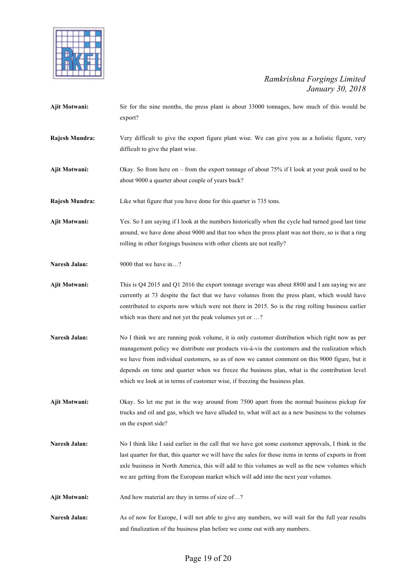

- **Ajit Motwani:** Sir for the nine months, the press plant is about 33000 tonnages, how much of this would be export?
- **Rajesh Mundra:** Very difficult to give the export figure plant wise. We can give you as a holistic figure, very difficult to give the plant wise.
- **Ajit Motwani:** Okay. So from here on from the export tonnage of about 75% if I look at your peak used to be about 9000 a quarter about couple of years back?
- **Rajesh Mundra:** Like what figure that you have done for this quarter is 735 tons.
- **Ajit Motwani:** Yes. So I am saying if I look at the numbers historically when the cycle had turned good last time around, we have done about 9000 and that too when the press plant was not there, so is that a ring rolling in other forgings business with other clients are not really?
- **Naresh Jalan:** 9000 that we have in...?
- **Ajit Motwani:** This is Q4 2015 and Q1 2016 the export tonnage average was about 8800 and I am saying we are currently at 73 despite the fact that we have volumes from the press plant, which would have contributed to exports now which were not there in 2015. So is the ring rolling business earlier which was there and not yet the peak volumes yet or ...?
- **Naresh Jalan:** No I think we are running peak volume, it is only customer distribution which right now as per management policy we distribute our products vis-à-vis the customers and the realization which we have from individual customers, so as of now we cannot comment on this 9000 figure, but it depends on time and quarter when we freeze the business plan, what is the contribution level which we look at in terms of customer wise, if freezing the business plan.
- **Ajit Motwani:** Okay. So let me put in the way around from 7500 apart from the normal business pickup for trucks and oil and gas, which we have alluded to, what will act as a new business to the volumes on the export side?
- **Naresh Jalan:** No I think like I said earlier in the call that we have got some customer approvals, I think in the last quarter for that, this quarter we will have the sales for those items in terms of exports in front axle business in North America, this will add to this volumes as well as the new volumes which we are getting from the European market which will add into the next year volumes.
- Ajit Motwani: And how material are they in terms of size of...?
- Naresh Jalan: As of now for Europe, I will not able to give any numbers, we will wait for the full year results and finalization of the business plan before we come out with any numbers.